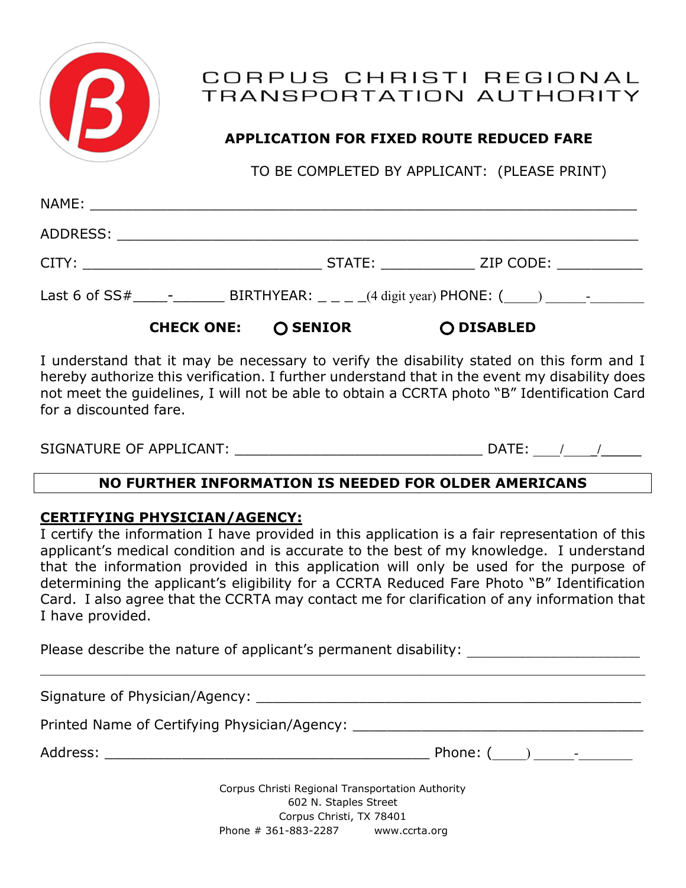

# CORPUS CHRISTI REGIONAL TRANSPORTATION AUTHORITY

# **APPLICATION FOR FIXED ROUTE REDUCED FARE**

TO BE COMPLETED BY APPLICANT: (PLEASE PRINT)

| CHECK ONE: <b>Q SENIOR</b> | O DISABLED |  |
|----------------------------|------------|--|
|                            |            |  |
|                            |            |  |
|                            |            |  |
|                            |            |  |

I understand that it may be necessary to verify the disability stated on this form and I hereby authorize this verification. I further understand that in the event my disability does not meet the guidelines, I will not be able to obtain a CCRTA photo "B" Identification Card for a discounted fare.

| SIGNATURE OF APPLICANT: | DA <sup>-</sup> |  |
|-------------------------|-----------------|--|
|                         |                 |  |

# **NO FURTHER INFORMATION IS NEEDED FOR OLDER AMERICANS**

# **CERTIFYING PHYSICIAN/AGENCY:**

I certify the information I have provided in this application is a fair representation of this applicant's medical condition and is accurate to the best of my knowledge. I understand that the information provided in this application will only be used for the purpose of determining the applicant's eligibility for a CCRTA Reduced Fare Photo "B" Identification Card. I also agree that the CCRTA may contact me for clarification of any information that I have provided.

Please describe the nature of applicant's permanent disability:

Signature of Physician/Agency: \_\_\_\_\_\_\_\_\_\_\_\_\_\_\_\_\_\_\_\_\_\_\_\_\_\_\_\_\_\_\_\_\_\_\_\_\_\_\_\_\_\_\_\_\_ Printed Name of Certifying Physician/Agency: \_\_\_\_\_\_\_\_\_\_\_\_\_\_\_\_\_\_\_\_\_\_\_\_\_\_\_\_\_\_\_\_\_\_\_ Address: \_\_\_\_\_\_\_\_\_\_\_\_\_\_\_\_\_\_\_\_\_\_\_\_\_\_\_\_\_\_\_\_\_\_\_\_\_\_ Phone: (\_\_\_\_\_) \_\_\_\_\_\_-\_\_\_\_\_\_\_\_ Corpus Christi Regional Transportation Authority 602 N. Staples Street

 $\mathcal{L}_\mathcal{L} = \mathcal{L}_\mathcal{L} = \mathcal{L}_\mathcal{L} = \mathcal{L}_\mathcal{L} = \mathcal{L}_\mathcal{L} = \mathcal{L}_\mathcal{L} = \mathcal{L}_\mathcal{L} = \mathcal{L}_\mathcal{L} = \mathcal{L}_\mathcal{L} = \mathcal{L}_\mathcal{L} = \mathcal{L}_\mathcal{L} = \mathcal{L}_\mathcal{L} = \mathcal{L}_\mathcal{L} = \mathcal{L}_\mathcal{L} = \mathcal{L}_\mathcal{L} = \mathcal{L}_\mathcal{L} = \mathcal{L}_\mathcal{L}$ 

Corpus Christi, TX 78401 Phone # 361-883-2287 www.ccrta.org